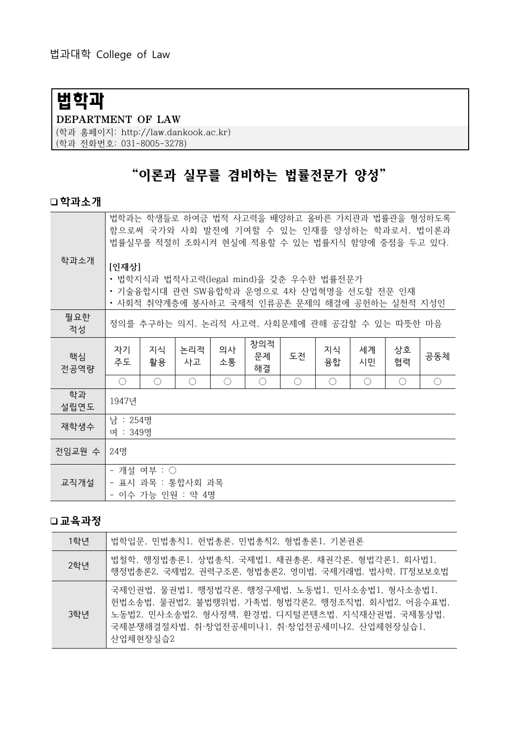# 법학과

#### DEPARTMENT OF LAW

(학과 홈페이지: http://law.dankook.ac.kr) (학과 전화번호: 031-8005-3278)

## "이론과 실무를 겸비하는 법률전문가 양성"

#### 학과소개

| 학과소개       | 법학과는 학생들로 하여금 법적 사고력을 배양하고 올바른 가치관과 법률관을 형성하도록<br>함으로써 국가와 사회 발전에 기여할 수 있는 인재를 양성하는 학과로서, 법이론과<br>법률실무를 적절히 조화시켜 현실에 적용할 수 있는 법률지식 함양에 중점을 두고 있다.<br>[인재상]<br>• 법학지식과 법적사고력(legal mind)을 갖춘 우수한 법률전문가<br>• 기술융합시대 관련 SW융합학과 운영으로 4차 산업혁명을 선도할 전문 인재<br>• 사회적 취약계층에 봉사하고 국제적 인류공존 문제의 해결에 공헌하는 실천적 지성인 |            |            |            |                 |    |            |            |          |            |
|------------|-------------------------------------------------------------------------------------------------------------------------------------------------------------------------------------------------------------------------------------------------------------------------------------------------------|------------|------------|------------|-----------------|----|------------|------------|----------|------------|
| 필요한<br>적성  | 정의를 추구하는 의지, 논리적 사고력, 사회문제에 관해 공감할 수 있는 따뜻한 마음                                                                                                                                                                                                                                                        |            |            |            |                 |    |            |            |          |            |
| 핵심<br>전공역량 | 자기<br>주도                                                                                                                                                                                                                                                                                              | 지식<br>활용   | 논리적<br>사고  | 의사<br>소통   | 창의적<br>문제<br>해결 | 도전 | 지식<br>융합   | 세계<br>시민   | 상호<br>협력 | 공동체        |
|            | $\bigcirc$                                                                                                                                                                                                                                                                                            | $\bigcirc$ | $\bigcirc$ | $\bigcirc$ | $\bigcirc$      | ◯  | $\bigcirc$ | $\bigcirc$ | ∩        | $\bigcirc$ |
| 학과<br>설립연도 | 1947년                                                                                                                                                                                                                                                                                                 |            |            |            |                 |    |            |            |          |            |
| 재학생수       | 남 : 254명<br>여 : 349명                                                                                                                                                                                                                                                                                  |            |            |            |                 |    |            |            |          |            |
| 전임교원 수     | 24명                                                                                                                                                                                                                                                                                                   |            |            |            |                 |    |            |            |          |            |
| 교직개설       | - 개설 여부 : ○<br>- 표시 과목 : 통합사회 과목<br>- 이수 가능 인원 : 약 4명                                                                                                                                                                                                                                                 |            |            |            |                 |    |            |            |          |            |

#### 교육과정

| 1학년 | 법학입문, 민법총칙1, 헌법총론, 민법총칙2, 형법총론1, 기본권론                                                                                                                                                                                    |
|-----|--------------------------------------------------------------------------------------------------------------------------------------------------------------------------------------------------------------------------|
| 2학년 | 법철학, 행정법총론1, 상법총칙, 국제법1, 채권총론, 채권각론, 형법각론1, 회사법1,<br>행정법총론2, 국제법2, 권력구조론, 형법총론2, 영미법, 국제거래법, 법사학, IT정보보호법                                                                                                                |
| 3학년 | 국제인권법, 물권법1, 행정법각론, 행정구제법, 노동법1, 민사소송법1, 형사소송법1,<br>헌법소송법, 물권법2, 불법행위법, 가족법, 형법각론2, 행정조직법, 회사법2, 어음수표법,<br>│노동법2, 민사소송법2, 형사정책, 환경법, 디지털콘텐츠법, 지식재산권법, 국제통상법,<br>국제분쟁해결절차법, 취·창업전공세미나1, 취·창업전공세미나2, 산업체현장실습1,<br>산업체현장실습2 |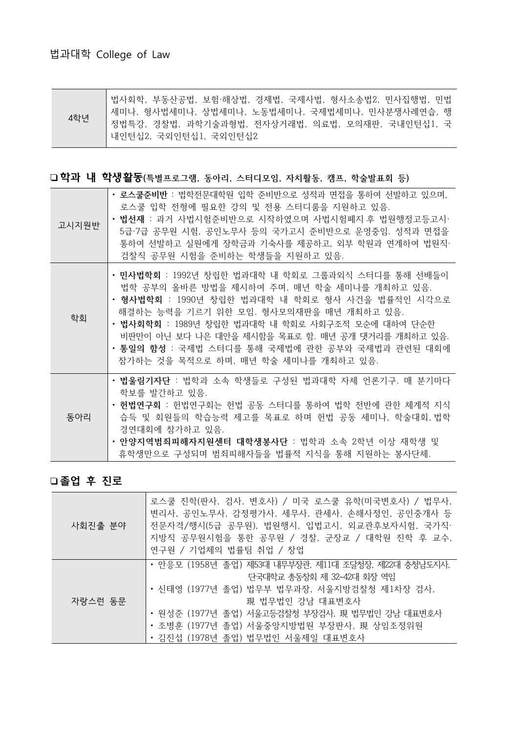| 4학년 | <sup> </sup> 법사회학, 부동산공법, 보험·해상법, 경제법, 국제사법, 형사소송법2, 민사집행법, 민법 |
|-----|----------------------------------------------------------------|
|     | 세미나, 형사법세미나, 상법세미나, 노동법세미나, 국제법세미나, 민사분쟁사례연습, 행                |
|     | │ 정법특강, 경찰법, 과학기술과형법, 전자상거래법, 의료법, 모의재판, 국내인턴십1, 국             |
|     | │내인턴십2, 국외인턴십1, 국외인턴십2                                         |

#### □학과 내 학생활동(특별프로그램, 동아리, 스터디모임, 자치활동, 캠프, 학술발표회 등)

| 고시지원반 | • 로스쿨준비반 : 법학전문대학원 입학 준비반으로 성적과 면접을 통하여 선발하고 있으며,<br>로스쿨 입학 전형에 필요한 강의 및 전용 스터디룸을 지원하고 있음.<br>• 법선재 : 과거 사법시험준비반으로 시작하였으며 사법시험폐지 후 법원행정고등고시·<br>5급·7급 공무원 시험, 공인노무사 등의 국가고시 준비반으로 운영중임. 성적과 면접을<br>통하여 선발하고 실원에게 장학금과 기숙사를 제공하고, 외부 학원과 연계하여 법원직·<br>검찰직 공무원 시험을 준비하는 학생들을 지원하고 있음.                                                                                                                |
|-------|----------------------------------------------------------------------------------------------------------------------------------------------------------------------------------------------------------------------------------------------------------------------------------------------------------------------------------------------------------------------------------------------------|
| 학회    | • 민사법학회 : 1992년 창립한 법과대학 내 학회로 그룹과외식 스터디를 통해 선배들이<br>법학 공부의 올바른 방법을 제시하여 주며, 매년 학술 세미나를 개최하고 있음.<br>• 형사법학회 : 1990년 창립한 법과대학 내 학회로 형사 사건을 법률적인 시각으로<br>해결하는 능력을 기르기 위한 모임. 형사모의재판을 매년 개최하고 있음.<br>• 법사회학회 : 1989년 창립한 법과대학 내 학회로 사회구조적 모순에 대하여 단순한<br>비판만이 아닌 보다 나은 대안을 제시함을 목표로 함. 매년 공개 댓거리를 개최하고 있음.<br>ㆍ 통일의 함성 : 국제법 스터디를 통해 국제법에 관한 공부와 국제법과 관련된 대회에<br>참가하는 것을 목적으로 하며, 매년 학술 세미나를 개최하고 있음. |
| 동아리   | • 법울림기자단 : 법학과 소속 학생들로 구성된 법과대학 자체 언론기구. 매 분기마다<br>학보를 발간하고 있음.<br>• 헌법연구회 : 헌법연구회는 헌법 공동 스터디를 통하여 법학 전반에 관한 체계적 지식<br>습득 및 회원들의 학습능력 제고를 목표로 하며 헌법 공동 세미나, 학술대회,법학<br>경연대회에 참가하고 있음.<br>• 안양지역범죄피해자지원센터 대학생봉사단 : 법학과 소속 2학년 이상 재학생 및<br>휴학생만으로 구성되며 범죄피해자들을 법률적 지식을 통해 지원하는 봉사단체.                                                                                                                 |

### 졸업 후 진로

| 사회진출 분야 | 로스쿨 진학(판사, 검사, 변호사) / 미국 로스쿨 유학(미국변호사) / 법무사,<br>변리사, 공인노무사, 감정평가사, 세무사, 관세사, 손해사정인, 공인중개사 등<br>전문자격/행시(5급 공무원), 법원행시, 입법고시, 외교관후보자시험, 국가직·<br>지방직 공무원시험을 통한 공무원 / 경찰, 군장교 / 대학원 진학 후 교수,<br>연구원 / 기업체의 법률팀 취업 / 창업                                                                   |
|---------|---------------------------------------------------------------------------------------------------------------------------------------------------------------------------------------------------------------------------------------------------------------------------------------|
| 자랑스런 동문 | • 안응모 (1958년 졸업) 제53대 내무부장관, 제11대 조달청장, 제22대 충청남도지사,<br>단국대학교 총동창회 제 32~42대 회장 역임<br>• 신태영 (1977년 졸업) 법무부 법무과장, 서울지방검찰청 제1차장 검사,<br>現 법무법인 강남 대표변호사<br>• 원성준 (1977년 졸업) 서울고등검찰청 부장검사, 現 법무법인 강남 대표변호사<br>• 조병훈 (1977년 졸업) 서울중앙지방법원 부장판사, 現 상임조정위원<br>• 김진섭 (1978년 졸업) 법무법인 서울제일 대표변호사 |